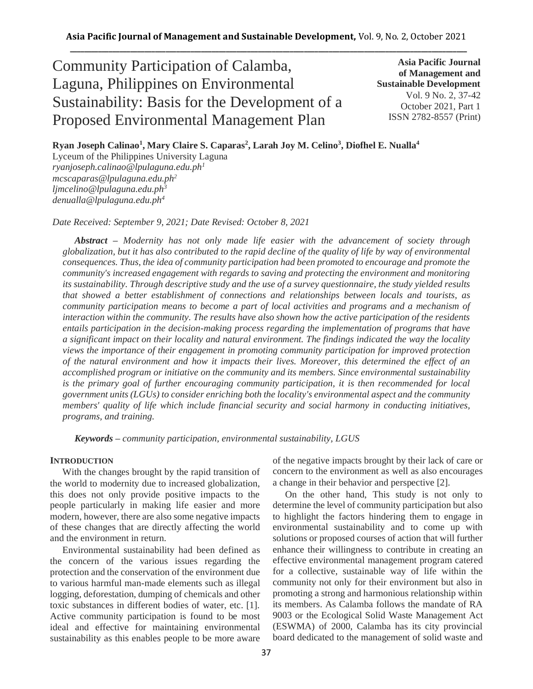# Community Participation of Calamba, Laguna, Philippines on Environmental Sustainability: Basis for the Development of a Proposed Environmental Management Plan

**Asia Pacific Journal of Management and Sustainable Development**  Vol. 9 No. 2, 37-42 October 2021, Part 1 ISSN 2782-8557 (Print)

**Ryan Joseph Calinao<sup>1</sup> , Mary Claire S. Caparas<sup>2</sup> , Larah Joy M. Celino<sup>3</sup> , Diofhel E. Nualla<sup>4</sup>**

Lyceum of the Philippines University Laguna *ryanjoseph.calinao@lpulaguna.edu.ph<sup>1</sup> mcscaparas@lpulaguna.edu.ph<sup>2</sup> ljmcelino@lpulaguna.edu.ph<sup>3</sup> denualla@lpulaguna.edu.ph<sup>4</sup>*

*Date Received: September 9, 2021; Date Revised: October 8, 2021*

*Abstract – Modernity has not only made life easier with the advancement of society through globalization, but it has also contributed to the rapid decline of the quality of life by way of environmental consequences. Thus, the idea of community participation had been promoted to encourage and promote the community's increased engagement with regards to saving and protecting the environment and monitoring its sustainability. Through descriptive study and the use of a survey questionnaire, the study yielded results that showed a better establishment of connections and relationships between locals and tourists, as community participation means to become a part of local activities and programs and a mechanism of interaction within the community. The results have also shown how the active participation of the residents entails participation in the decision-making process regarding the implementation of programs that have a significant impact on their locality and natural environment. The findings indicated the way the locality views the importance of their engagement in promoting community participation for improved protection of the natural environment and how it impacts their lives. Moreover, this determined the effect of an accomplished program or initiative on the community and its members. Since environmental sustainability is the primary goal of further encouraging community participation, it is then recommended for local government units (LGUs) to consider enriching both the locality's environmental aspect and the community members' quality of life which include financial security and social harmony in conducting initiatives, programs, and training.*

*Keywords – community participation, environmental sustainability, LGUS*

### **INTRODUCTION**

With the changes brought by the rapid transition of the world to modernity due to increased globalization, this does not only provide positive impacts to the people particularly in making life easier and more modern, however, there are also some negative impacts of these changes that are directly affecting the world and the environment in return.

Environmental sustainability had been defined as the concern of the various issues regarding the protection and the conservation of the environment due to various harmful man-made elements such as illegal logging, deforestation, dumping of chemicals and other toxic substances in different bodies of water, etc. [1]. Active community participation is found to be most ideal and effective for maintaining environmental sustainability as this enables people to be more aware of the negative impacts brought by their lack of care or concern to the environment as well as also encourages a change in their behavior and perspective [2].

On the other hand, This study is not only to determine the level of community participation but also to highlight the factors hindering them to engage in environmental sustainability and to come up with solutions or proposed courses of action that will further enhance their willingness to contribute in creating an effective environmental management program catered for a collective, sustainable way of life within the community not only for their environment but also in promoting a strong and harmonious relationship within its members. As Calamba follows the mandate of RA 9003 or the Ecological Solid Waste Management Act (ESWMA) of 2000, Calamba has its city provincial board dedicated to the management of solid waste and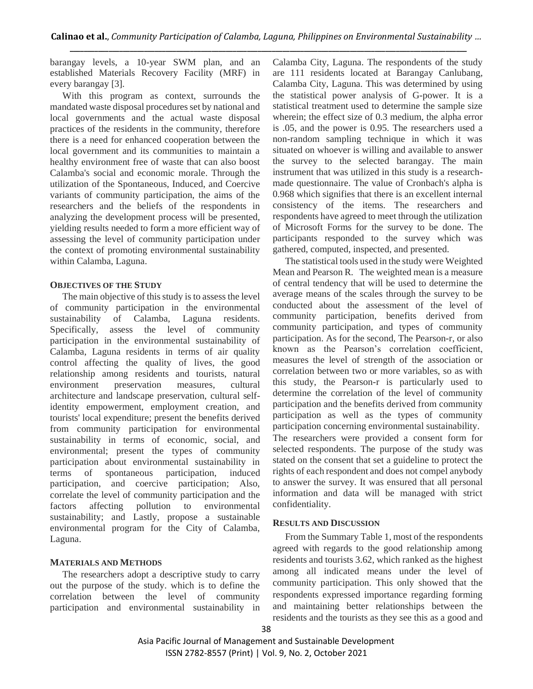barangay levels, a 10-year SWM plan, and an established Materials Recovery Facility (MRF) in every barangay [3].

With this program as context, surrounds the mandated waste disposal procedures set by national and local governments and the actual waste disposal practices of the residents in the community, therefore there is a need for enhanced cooperation between the local government and its communities to maintain a healthy environment free of waste that can also boost Calamba's social and economic morale. Through the utilization of the Spontaneous, Induced, and Coercive variants of community participation, the aims of the researchers and the beliefs of the respondents in analyzing the development process will be presented, yielding results needed to form a more efficient way of assessing the level of community participation under the context of promoting environmental sustainability within Calamba, Laguna.

#### **OBJECTIVES OF THE STUDY**

The main objective of this study is to assess the level of community participation in the environmental sustainability of Calamba, Laguna residents. Specifically, assess the level of community participation in the environmental sustainability of Calamba, Laguna residents in terms of air quality control affecting the quality of lives, the good relationship among residents and tourists, natural environment preservation measures, cultural architecture and landscape preservation, cultural selfidentity empowerment, employment creation, and tourists' local expenditure; present the benefits derived from community participation for environmental sustainability in terms of economic, social, and environmental; present the types of community participation about environmental sustainability in terms of spontaneous participation, induced participation, and coercive participation; Also, correlate the level of community participation and the factors affecting pollution to environmental sustainability; and Lastly, propose a sustainable environmental program for the City of Calamba, Laguna.

### **MATERIALS AND METHODS**

The researchers adopt a descriptive study to carry out the purpose of the study. which is to define the correlation between the level of community participation and environmental sustainability in Calamba City, Laguna. The respondents of the study are 111 residents located at Barangay Canlubang, Calamba City, Laguna. This was determined by using the statistical power analysis of G-power. It is a statistical treatment used to determine the sample size wherein; the effect size of 0.3 medium, the alpha error is .05, and the power is 0.95. The researchers used a non-random sampling technique in which it was situated on whoever is willing and available to answer the survey to the selected barangay. The main instrument that was utilized in this study is a researchmade questionnaire. The value of Cronbach's alpha is 0.968 which signifies that there is an excellent internal consistency of the items. The researchers and respondents have agreed to meet through the utilization of Microsoft Forms for the survey to be done. The participants responded to the survey which was gathered, computed, inspected, and presented.

The statistical tools used in the study were Weighted Mean and Pearson R. The weighted mean is a measure of central tendency that will be used to determine the average means of the scales through the survey to be conducted about the assessment of the level of community participation, benefits derived from community participation, and types of community participation. As for the second, The Pearson-r, or also known as the Pearson's correlation coefficient, measures the level of strength of the association or correlation between two or more variables, so as with this study, the Pearson-r is particularly used to determine the correlation of the level of community participation and the benefits derived from community participation as well as the types of community participation concerning environmental sustainability. The researchers were provided a consent form for selected respondents. The purpose of the study was stated on the consent that set a guideline to protect the rights of each respondent and does not compel anybody to answer the survey. It was ensured that all personal information and data will be managed with strict confidentiality.

### **RESULTS AND DISCUSSION**

From the Summary Table 1, most of the respondents agreed with regards to the good relationship among residents and tourists 3.62, which ranked as the highest among all indicated means under the level of community participation. This only showed that the respondents expressed importance regarding forming and maintaining better relationships between the residents and the tourists as they see this as a good and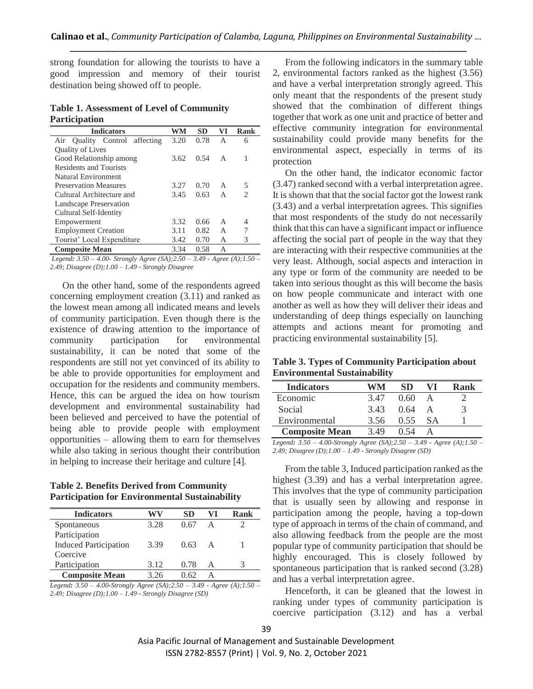strong foundation for allowing the tourists to have a good impression and memory of their tourist destination being showed off to people.

**Table 1. Assessment of Level of Community Participation**

| <b>Indicators</b>             | WM   | SD   | VI | <b>Rank</b>                 |
|-------------------------------|------|------|----|-----------------------------|
| Air Quality Control affecting | 3.20 | 0.78 | A  | 6                           |
| <b>Quality of Lives</b>       |      |      |    |                             |
| Good Relationship among       | 3.62 | 0.54 | A  | 1                           |
| <b>Residents and Tourists</b> |      |      |    |                             |
| Natural Environment           |      |      |    |                             |
| <b>Preservation Measures</b>  | 3.27 | 0.70 | A  | 5                           |
| Cultural Architecture and     | 3.45 | 0.63 | A  | $\mathcal{D}_{\mathcal{L}}$ |
| Landscape Preservation        |      |      |    |                             |
| Cultural Self-Identity        |      |      |    |                             |
| Empowerment                   | 3.32 | 0.66 | A  | 4                           |
| <b>Employment Creation</b>    | 3.11 | 0.82 | A  |                             |
| Tourist' Local Expenditure    | 3.42 | 0.70 | А  | 3                           |
| <b>Composite Mean</b>         | 3.34 | 0.58 | А  |                             |

*Legend: 3.50 – 4.00- Strongly Agree (SA);2.50 – 3.49 - Agree (A);1.50 – 2.49; Disagree (D);1.00 – 1.49 - Strongly Disagree* 

On the other hand, some of the respondents agreed concerning employment creation (3.11) and ranked as the lowest mean among all indicated means and levels of community participation. Even though there is the existence of drawing attention to the importance of community participation for environmental sustainability, it can be noted that some of the respondents are still not yet convinced of its ability to be able to provide opportunities for employment and occupation for the residents and community members. Hence, this can be argued the idea on how tourism development and environmental sustainability had been believed and perceived to have the potential of being able to provide people with employment opportunities – allowing them to earn for themselves while also taking in serious thought their contribution in helping to increase their heritage and culture [4].

**Table 2. Benefits Derived from Community Participation for Environmental Sustainability** 

| <b>Indicators</b>            | WV   | SD    | VI | Rank |
|------------------------------|------|-------|----|------|
| Spontaneous                  | 3.28 | 0.67  | A  |      |
| Participation                |      |       |    |      |
| <b>Induced Participation</b> | 3.39 | 0.63  | A  |      |
| Coercive                     |      |       |    |      |
| Participation                | 3.12 | 0.78  | A  |      |
| <b>Composite Mean</b>        | 326  | () 62 |    |      |

*Legend: 3.50 – 4.00-Strongly Agree (SA);2.50 – 3.49 - Agree (A);1.50 – 2.49; Disagree (D);1.00 – 1.49 - Strongly Disagree (SD)*

From the following indicators in the summary table 2, environmental factors ranked as the highest (3.56) and have a verbal interpretation strongly agreed. This only meant that the respondents of the present study showed that the combination of different things together that work as one unit and practice of better and effective community integration for environmental sustainability could provide many benefits for the environmental aspect, especially in terms of its protection

On the other hand, the indicator economic factor (3.47) ranked second with a verbal interpretation agree. It is shown that that the social factor got the lowest rank (3.43) and a verbal interpretation agrees. This signifies that most respondents of the study do not necessarily think that this can have a significant impact or influence affecting the social part of people in the way that they are interacting with their respective communities at the very least. Although, social aspects and interaction in any type or form of the community are needed to be taken into serious thought as this will become the basis on how people communicate and interact with one another as well as how they will deliver their ideas and understanding of deep things especially on launching attempts and actions meant for promoting and practicing environmental sustainability [5].

**Table 3. Types of Community Participation about Environmental Sustainability**

| <b>Indicators</b>     | WМ   | SD   |           | Rank |
|-----------------------|------|------|-----------|------|
| Economic              | 347  | 0.60 |           |      |
| Social                | 343  | 0.64 |           |      |
| Environmental         | 3.56 | 0.55 | <b>SA</b> |      |
| <b>Composite Mean</b> | 3.49 | 0.54 |           |      |

*Legend: 3.50 – 4.00-Strongly Agree (SA);2.50 – 3.49 - Agree (A);1.50 – 2.49; Disagree (D);1.00 – 1.49 - Strongly Disagree (SD)*

From the table 3, Induced participation ranked as the highest (3.39) and has a verbal interpretation agree. This involves that the type of community participation that is usually seen by allowing and response in participation among the people, having a top-down type of approach in terms of the chain of command, and also allowing feedback from the people are the most popular type of community participation that should be highly encouraged. This is closely followed by spontaneous participation that is ranked second (3.28) and has a verbal interpretation agree.

Henceforth, it can be gleaned that the lowest in ranking under types of community participation is coercive participation (3.12) and has a verbal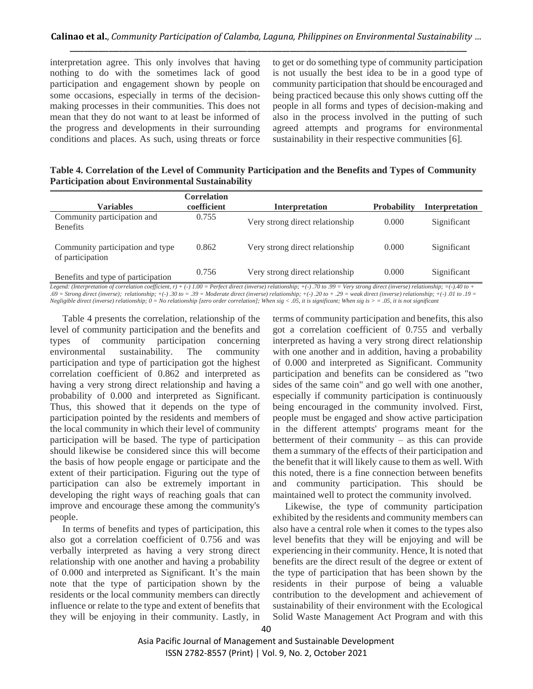interpretation agree. This only involves that having nothing to do with the sometimes lack of good participation and engagement shown by people on some occasions, especially in terms of the decisionmaking processes in their communities. This does not mean that they do not want to at least be informed of the progress and developments in their surrounding conditions and places. As such, using threats or force to get or do something type of community participation is not usually the best idea to be in a good type of community participation that should be encouraged and being practiced because this only shows cutting off the people in all forms and types of decision-making and also in the process involved in the putting of such agreed attempts and programs for environmental sustainability in their respective communities [6].

**Table 4. Correlation of the Level of Community Participation and the Benefits and Types of Community Participation about Environmental Sustainability**

| <b>Variables</b>                                     | <b>Correlation</b><br>coefficient | <b>Interpretation</b>           | <b>Probability</b> | <b>Interpretation</b> |
|------------------------------------------------------|-----------------------------------|---------------------------------|--------------------|-----------------------|
| Community participation and<br><b>Benefits</b>       | 0.755                             | Very strong direct relationship | 0.000              | Significant           |
| Community participation and type<br>of participation | 0.862                             | Very strong direct relationship | 0.000              | Significant           |
| Benefits and type of participation                   | 0.756                             | Very strong direct relationship | 0.000              | Significant           |

*Legend: (Interpretation of correlation coefficient, r) + (-) 1.00 = Perfect direct (inverse) relationship; +(-) .70 to .99 = Very strong direct (inverse) relationship; =(-).40 to + .69 = Strong direct (inverse); relationship; +(-) .30 to = .39 = Moderate direct (inverse) relationship; +(-) .20 to + .29 = weak direct (inverse) relationship; +(-) .01 to .19 = Negligible direct (inverse) relationship; 0 = No relationship [zero order correlation]; When sig < .05, it is significant; When sig is > = .05, it is not significant*

Table 4 presents the correlation, relationship of the level of community participation and the benefits and types of community participation concerning environmental sustainability. The community participation and type of participation got the highest correlation coefficient of 0.862 and interpreted as having a very strong direct relationship and having a probability of 0.000 and interpreted as Significant. Thus, this showed that it depends on the type of participation pointed by the residents and members of the local community in which their level of community participation will be based. The type of participation should likewise be considered since this will become the basis of how people engage or participate and the extent of their participation. Figuring out the type of participation can also be extremely important in developing the right ways of reaching goals that can improve and encourage these among the community's people.

In terms of benefits and types of participation, this also got a correlation coefficient of 0.756 and was verbally interpreted as having a very strong direct relationship with one another and having a probability of 0.000 and interpreted as Significant. It's the main note that the type of participation shown by the residents or the local community members can directly influence or relate to the type and extent of benefits that they will be enjoying in their community. Lastly, in

terms of community participation and benefits, this also got a correlation coefficient of 0.755 and verbally interpreted as having a very strong direct relationship with one another and in addition, having a probability of 0.000 and interpreted as Significant. Community participation and benefits can be considered as "two sides of the same coin" and go well with one another, especially if community participation is continuously being encouraged in the community involved. First, people must be engaged and show active participation in the different attempts' programs meant for the betterment of their community – as this can provide them a summary of the effects of their participation and the benefit that it will likely cause to them as well. With this noted, there is a fine connection between benefits and community participation. This should be maintained well to protect the community involved.

Likewise, the type of community participation exhibited by the residents and community members can also have a central role when it comes to the types also level benefits that they will be enjoying and will be experiencing in their community. Hence, It is noted that benefits are the direct result of the degree or extent of the type of participation that has been shown by the residents in their purpose of being a valuable contribution to the development and achievement of sustainability of their environment with the Ecological Solid Waste Management Act Program and with this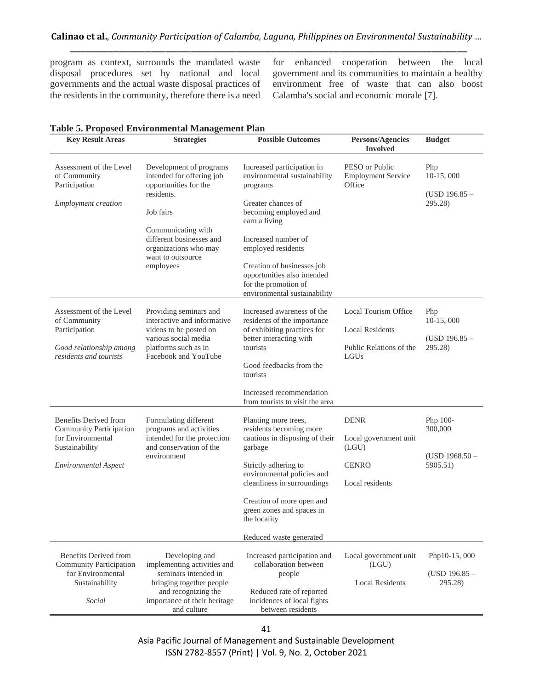program as context, surrounds the mandated waste disposal procedures set by national and local governments and the actual waste disposal practices of the residents in the community, therefore there is a need for enhanced cooperation between the local government and its communities to maintain a healthy environment free of waste that can also boost Calamba's social and economic morale [7].

| <b>Key Result Areas</b>                                                                                                | <b>Strategies</b>                                                                                                                                                                                                     | <b>Possible Outcomes</b>                                                                                                                                                                                                                                                                                 | <b>Persons/Agencies</b><br><b>Involved</b>                                        | <b>Budget</b>                                       |
|------------------------------------------------------------------------------------------------------------------------|-----------------------------------------------------------------------------------------------------------------------------------------------------------------------------------------------------------------------|----------------------------------------------------------------------------------------------------------------------------------------------------------------------------------------------------------------------------------------------------------------------------------------------------------|-----------------------------------------------------------------------------------|-----------------------------------------------------|
| Assessment of the Level<br>of Community<br>Participation<br><b>Employment</b> creation                                 | Development of programs<br>intended for offering job<br>opportunities for the<br>residents.<br>Job fairs<br>Communicating with<br>different businesses and<br>organizations who may<br>want to outsource<br>employees | Increased participation in<br>environmental sustainability<br>programs<br>Greater chances of<br>becoming employed and<br>earn a living<br>Increased number of<br>employed residents<br>Creation of businesses job<br>opportunities also intended<br>for the promotion of<br>environmental sustainability | PESO or Public<br><b>Employment Service</b><br>Office                             | Php<br>$10-15,000$<br>$(USD 196.85 -$<br>295.28)    |
| Assessment of the Level<br>of Community<br>Participation<br>Good relationship among<br>residents and tourists          | Providing seminars and<br>interactive and informative<br>videos to be posted on<br>various social media<br>platforms such as in<br>Facebook and YouTube                                                               | Increased awareness of the<br>residents of the importance<br>of exhibiting practices for<br>better interacting with<br>tourists<br>Good feedbacks from the<br>tourists<br>Increased recommendation<br>from tourists to visit the area                                                                    | Local Tourism Office<br><b>Local Residents</b><br>Public Relations of the<br>LGUs | Php<br>10-15,000<br>$(USD 196.85 -$<br>295.28)      |
| Benefits Derived from<br>Community Participation<br>for Environmental<br>Sustainability<br><b>Environmental Aspect</b> | Formulating different<br>programs and activities<br>intended for the protection<br>and conservation of the<br>environment                                                                                             | Planting more trees,<br>residents becoming more<br>cautious in disposing of their<br>garbage<br>Strictly adhering to<br>environmental policies and<br>cleanliness in surroundings<br>Creation of more open and<br>green zones and spaces in<br>the locality<br>Reduced waste generated                   | <b>DENR</b><br>Local government unit<br>(LGU)<br><b>CENRO</b><br>Local residents  | Php 100-<br>300,000<br>$(USD 1968.50 -$<br>5905.51) |
| <b>Benefits Derived from</b><br><b>Community Participation</b><br>for Environmental<br>Sustainability<br>Social        | Developing and<br>implementing activities and<br>seminars intended in<br>bringing together people<br>and recognizing the<br>importance of their heritage<br>and culture                                               | Increased participation and<br>collaboration between<br>people<br>Reduced rate of reported<br>incidences of local fights<br>between residents                                                                                                                                                            | Local government unit<br>(LGU)<br><b>Local Residents</b>                          | Php10-15, 000<br>$(USD 196.85 -$<br>295.28)         |

# **Table 5. Proposed Environmental Management Plan**

41